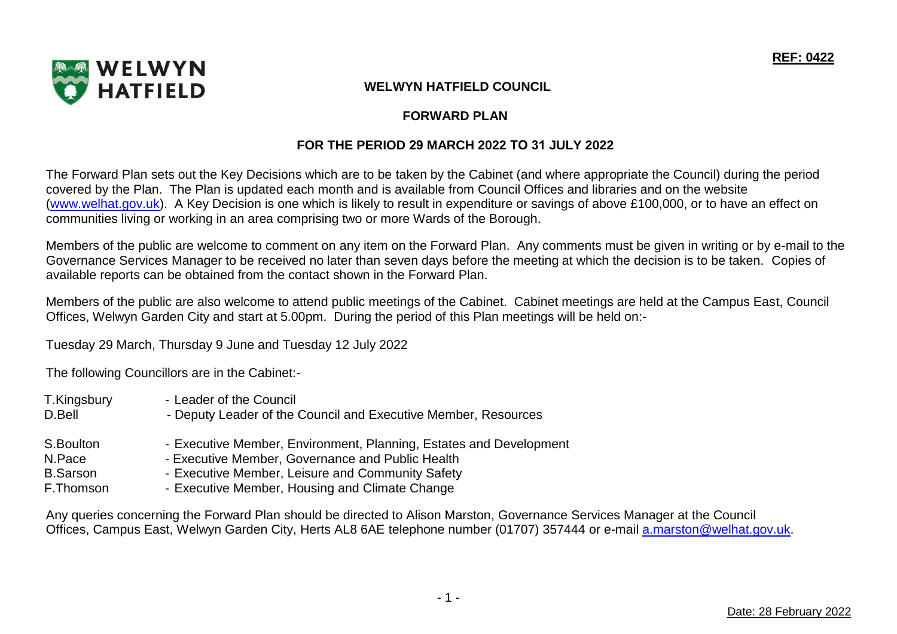

# **FORWARD PLAN**

# **FOR THE PERIOD 29 MARCH 2022 TO 31 JULY 2022**

The Forward Plan sets out the Key Decisions which are to be taken by the Cabinet (and where appropriate the Council) during the period covered by the Plan. The Plan is updated each month and is available from Council Offices and libraries and on the website [\(www.welhat.gov.uk\)](http://www.welhat.gov.uk/). A Key Decision is one which is likely to result in expenditure or savings of above £100,000, or to have an effect on communities living or working in an area comprising two or more Wards of the Borough.

Members of the public are welcome to comment on any item on the Forward Plan. Any comments must be given in writing or by e-mail to the Governance Services Manager to be received no later than seven days before the meeting at which the decision is to be taken. Copies of available reports can be obtained from the contact shown in the Forward Plan.

Members of the public are also welcome to attend public meetings of the Cabinet. Cabinet meetings are held at the Campus East, Council Offices, Welwyn Garden City and start at 5.00pm. During the period of this Plan meetings will be held on:-

Tuesday 29 March, Thursday 9 June and Tuesday 12 July 2022

The following Councillors are in the Cabinet:-

| T.Kingsbury<br>D.Bell | - Leader of the Council<br>- Deputy Leader of the Council and Executive Member, Resources |
|-----------------------|-------------------------------------------------------------------------------------------|
| S.Boulton             | - Executive Member, Environment, Planning, Estates and Development                        |
| N.Pace                | - Executive Member, Governance and Public Health                                          |
| <b>B.Sarson</b>       | - Executive Member, Leisure and Community Safety                                          |
| F.Thomson             | - Executive Member, Housing and Climate Change                                            |

Any queries concerning the Forward Plan should be directed to Alison Marston, Governance Services Manager at the Council Offices, Campus East, Welwyn Garden City, Herts AL8 6AE telephone number (01707) 357444 or e-mail [a.marston@welhat.gov.uk.](mailto:g.seal@welhat.gov.uk)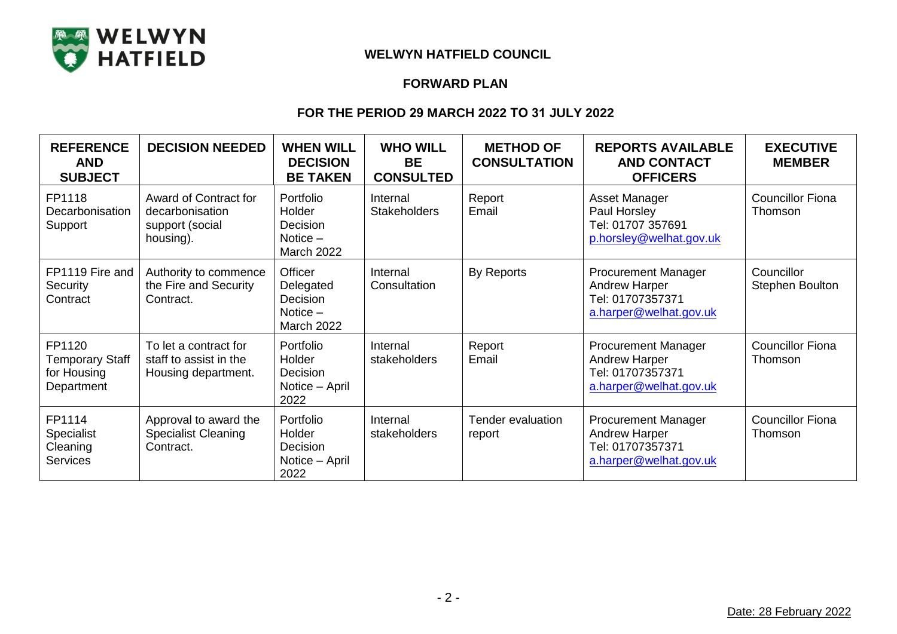

### **FORWARD PLAN**

| <b>REFERENCE</b><br><b>AND</b><br><b>SUBJECT</b>              | <b>DECISION NEEDED</b>                                                   | <b>WHEN WILL</b><br><b>DECISION</b><br><b>BE TAKEN</b>                     | <b>WHO WILL</b><br><b>BE</b><br><b>CONSULTED</b> | <b>METHOD OF</b><br><b>CONSULTATION</b> | <b>REPORTS AVAILABLE</b><br><b>AND CONTACT</b><br><b>OFFICERS</b>                                | <b>EXECUTIVE</b><br><b>MEMBER</b>    |
|---------------------------------------------------------------|--------------------------------------------------------------------------|----------------------------------------------------------------------------|--------------------------------------------------|-----------------------------------------|--------------------------------------------------------------------------------------------------|--------------------------------------|
| FP1118<br>Decarbonisation<br>Support                          | Award of Contract for<br>decarbonisation<br>support (social<br>housing). | Portfolio<br>Holder<br>Decision<br>Notice $-$<br><b>March 2022</b>         | Internal<br><b>Stakeholders</b>                  | Report<br>Email                         | Asset Manager<br>Paul Horsley<br>Tel: 01707 357691<br>p.horsley@welhat.gov.uk                    | <b>Councillor Fiona</b><br>Thomson   |
| FP1119 Fire and<br>Security<br>Contract                       | Authority to commence<br>the Fire and Security<br>Contract.              | Officer<br>Delegated<br><b>Decision</b><br>Notice $-$<br><b>March 2022</b> | Internal<br>Consultation                         | By Reports                              | <b>Procurement Manager</b><br><b>Andrew Harper</b><br>Tel: 01707357371<br>a.harper@welhat.gov.uk | Councillor<br><b>Stephen Boulton</b> |
| FP1120<br><b>Temporary Staff</b><br>for Housing<br>Department | To let a contract for<br>staff to assist in the<br>Housing department.   | Portfolio<br>Holder<br>Decision<br>Notice - April<br>2022                  | Internal<br>stakeholders                         | Report<br>Email                         | <b>Procurement Manager</b><br><b>Andrew Harper</b><br>Tel: 01707357371<br>a.harper@welhat.gov.uk | <b>Councillor Fiona</b><br>Thomson   |
| FP1114<br><b>Specialist</b><br>Cleaning<br><b>Services</b>    | Approval to award the<br><b>Specialist Cleaning</b><br>Contract.         | Portfolio<br>Holder<br>Decision<br>Notice – April<br>2022                  | Internal<br>stakeholders                         | Tender evaluation<br>report             | <b>Procurement Manager</b><br><b>Andrew Harper</b><br>Tel: 01707357371<br>a.harper@welhat.gov.uk | <b>Councillor Fiona</b><br>Thomson   |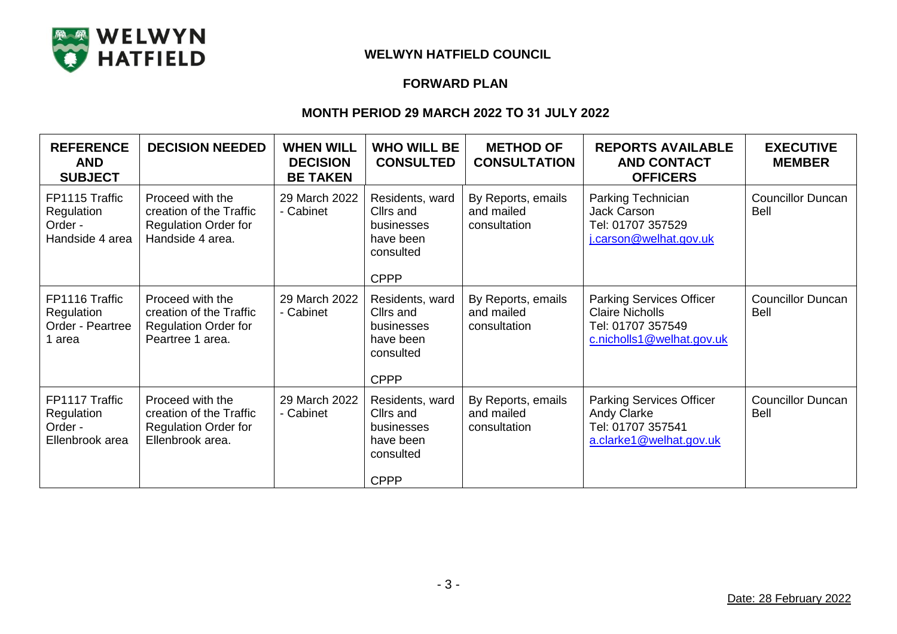

## **FORWARD PLAN**

| <b>REFERENCE</b><br><b>AND</b><br><b>SUBJECT</b>           | <b>DECISION NEEDED</b>                                                                         | <b>WHEN WILL</b><br><b>DECISION</b><br><b>BE TAKEN</b> | <b>WHO WILL BE</b><br><b>CONSULTED</b>                                              | <b>METHOD OF</b><br><b>CONSULTATION</b>          | <b>REPORTS AVAILABLE</b><br><b>AND CONTACT</b><br><b>OFFICERS</b>                                           | <b>EXECUTIVE</b><br><b>MEMBER</b>       |
|------------------------------------------------------------|------------------------------------------------------------------------------------------------|--------------------------------------------------------|-------------------------------------------------------------------------------------|--------------------------------------------------|-------------------------------------------------------------------------------------------------------------|-----------------------------------------|
| FP1115 Traffic<br>Regulation<br>Order -<br>Handside 4 area | Proceed with the<br>creation of the Traffic<br><b>Regulation Order for</b><br>Handside 4 area. | 29 March 2022<br>- Cabinet                             | Residents, ward<br>Cllrs and<br>businesses<br>have been<br>consulted<br><b>CPPP</b> | By Reports, emails<br>and mailed<br>consultation | Parking Technician<br><b>Jack Carson</b><br>Tel: 01707 357529<br>j.carson@welhat.gov.uk                     | <b>Councillor Duncan</b><br><b>Bell</b> |
| FP1116 Traffic<br>Regulation<br>Order - Peartree<br>1 area | Proceed with the<br>creation of the Traffic<br><b>Regulation Order for</b><br>Peartree 1 area. | 29 March 2022<br>- Cabinet                             | Residents, ward<br>Cllrs and<br>businesses<br>have been<br>consulted<br><b>CPPP</b> | By Reports, emails<br>and mailed<br>consultation | <b>Parking Services Officer</b><br><b>Claire Nicholls</b><br>Tel: 01707 357549<br>c.nicholls1@welhat.gov.uk | <b>Councillor Duncan</b><br><b>Bell</b> |
| FP1117 Traffic<br>Regulation<br>Order -<br>Ellenbrook area | Proceed with the<br>creation of the Traffic<br><b>Regulation Order for</b><br>Ellenbrook area. | 29 March 2022<br>- Cabinet                             | Residents, ward<br>Cllrs and<br>businesses<br>have been<br>consulted<br><b>CPPP</b> | By Reports, emails<br>and mailed<br>consultation | <b>Parking Services Officer</b><br><b>Andy Clarke</b><br>Tel: 01707 357541<br>a.clarke1@welhat.gov.uk       | <b>Councillor Duncan</b><br><b>Bell</b> |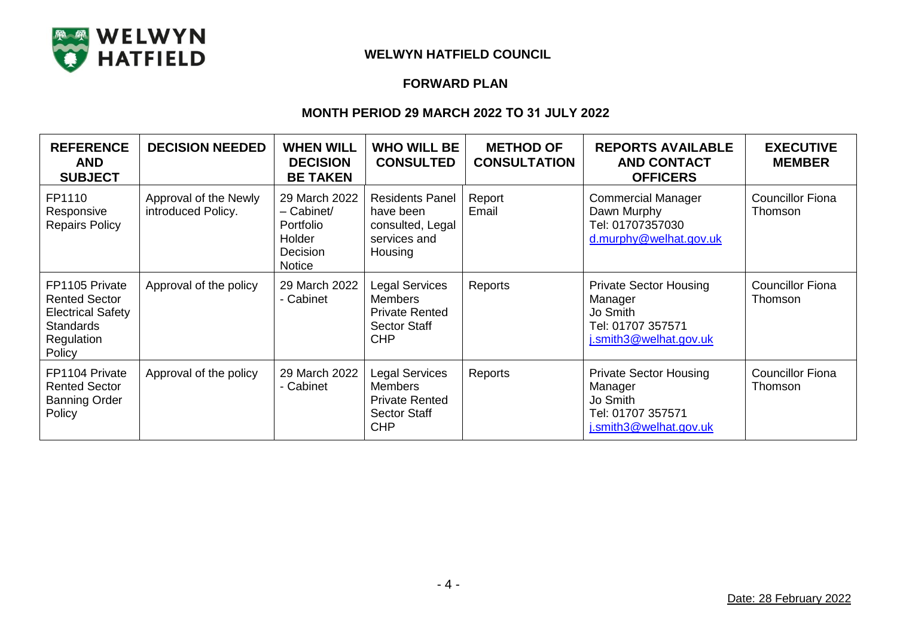

## **FORWARD PLAN**

| <b>REFERENCE</b><br><b>AND</b><br><b>SUBJECT</b>                                                               | <b>DECISION NEEDED</b>                      | <b>WHEN WILL</b><br><b>DECISION</b><br><b>BE TAKEN</b>                            | <b>WHO WILL BE</b><br><b>CONSULTED</b>                                                                | <b>METHOD OF</b><br><b>CONSULTATION</b> | <b>REPORTS AVAILABLE</b><br><b>AND CONTACT</b><br><b>OFFICERS</b>                                   | <b>EXECUTIVE</b><br><b>MEMBER</b>  |
|----------------------------------------------------------------------------------------------------------------|---------------------------------------------|-----------------------------------------------------------------------------------|-------------------------------------------------------------------------------------------------------|-----------------------------------------|-----------------------------------------------------------------------------------------------------|------------------------------------|
| FP1110<br>Responsive<br><b>Repairs Policy</b>                                                                  | Approval of the Newly<br>introduced Policy. | 29 March 2022<br>$-$ Cabinet/<br>Portfolio<br>Holder<br>Decision<br><b>Notice</b> | <b>Residents Panel</b><br>have been<br>consulted, Legal<br>services and<br>Housing                    | Report<br>Email                         | <b>Commercial Manager</b><br>Dawn Murphy<br>Tel: 01707357030<br>d.murphy@welhat.gov.uk              | <b>Councillor Fiona</b><br>Thomson |
| FP1105 Private<br><b>Rented Sector</b><br><b>Electrical Safety</b><br><b>Standards</b><br>Regulation<br>Policy | Approval of the policy                      | 29 March 2022<br>- Cabinet                                                        | <b>Legal Services</b><br><b>Members</b><br><b>Private Rented</b><br><b>Sector Staff</b><br><b>CHP</b> | Reports                                 | <b>Private Sector Housing</b><br>Manager<br>Jo Smith<br>Tel: 01707 357571<br>j.smith3@welhat.gov.uk | <b>Councillor Fiona</b><br>Thomson |
| FP1104 Private<br><b>Rented Sector</b><br><b>Banning Order</b><br>Policy                                       | Approval of the policy                      | 29 March 2022<br>- Cabinet                                                        | <b>Legal Services</b><br><b>Members</b><br><b>Private Rented</b><br><b>Sector Staff</b><br><b>CHP</b> | Reports                                 | <b>Private Sector Housing</b><br>Manager<br>Jo Smith<br>Tel: 01707 357571<br>j.smith3@welhat.gov.uk | <b>Councillor Fiona</b><br>Thomson |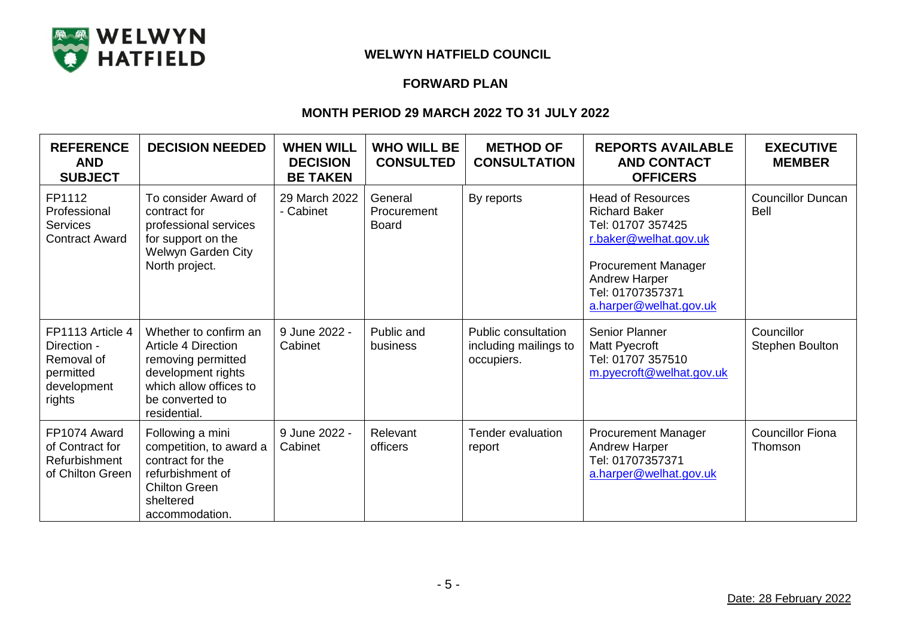

## **FORWARD PLAN**

| <b>REFERENCE</b><br><b>AND</b><br><b>SUBJECT</b>                                    | <b>DECISION NEEDED</b>                                                                                                                                | <b>WHEN WILL</b><br><b>DECISION</b><br><b>BE TAKEN</b> | <b>WHO WILL BE</b><br><b>CONSULTED</b>        | <b>METHOD OF</b><br><b>CONSULTATION</b>                    | <b>REPORTS AVAILABLE</b><br><b>AND CONTACT</b><br><b>OFFICERS</b>                                                                                                                                  | <b>EXECUTIVE</b><br><b>MEMBER</b>    |
|-------------------------------------------------------------------------------------|-------------------------------------------------------------------------------------------------------------------------------------------------------|--------------------------------------------------------|-----------------------------------------------|------------------------------------------------------------|----------------------------------------------------------------------------------------------------------------------------------------------------------------------------------------------------|--------------------------------------|
| FP1112<br>Professional<br><b>Services</b><br><b>Contract Award</b>                  | To consider Award of<br>contract for<br>professional services<br>for support on the<br>Welwyn Garden City<br>North project.                           | 29 March 2022<br>- Cabinet                             | General<br><b>Procurement</b><br><b>Board</b> | By reports                                                 | <b>Head of Resources</b><br><b>Richard Baker</b><br>Tel: 01707 357425<br>r.baker@welhat.gov.uk<br><b>Procurement Manager</b><br><b>Andrew Harper</b><br>Tel: 01707357371<br>a.harper@welhat.gov.uk | <b>Councillor Duncan</b><br>Bell     |
| FP1113 Article 4<br>Direction -<br>Removal of<br>permitted<br>development<br>rights | Whether to confirm an<br>Article 4 Direction<br>removing permitted<br>development rights<br>which allow offices to<br>be converted to<br>residential. | 9 June 2022 -<br>Cabinet                               | Public and<br>business                        | Public consultation<br>including mailings to<br>occupiers. | <b>Senior Planner</b><br>Matt Pyecroft<br>Tel: 01707 357510<br>m.pyecroft@welhat.gov.uk                                                                                                            | Councillor<br><b>Stephen Boulton</b> |
| FP1074 Award<br>of Contract for<br>Refurbishment<br>of Chilton Green                | Following a mini<br>competition, to award a<br>contract for the<br>refurbishment of<br><b>Chilton Green</b><br>sheltered<br>accommodation.            | 9 June 2022 -<br>Cabinet                               | Relevant<br>officers                          | Tender evaluation<br>report                                | <b>Procurement Manager</b><br><b>Andrew Harper</b><br>Tel: 01707357371<br>a.harper@welhat.gov.uk                                                                                                   | <b>Councillor Fiona</b><br>Thomson   |